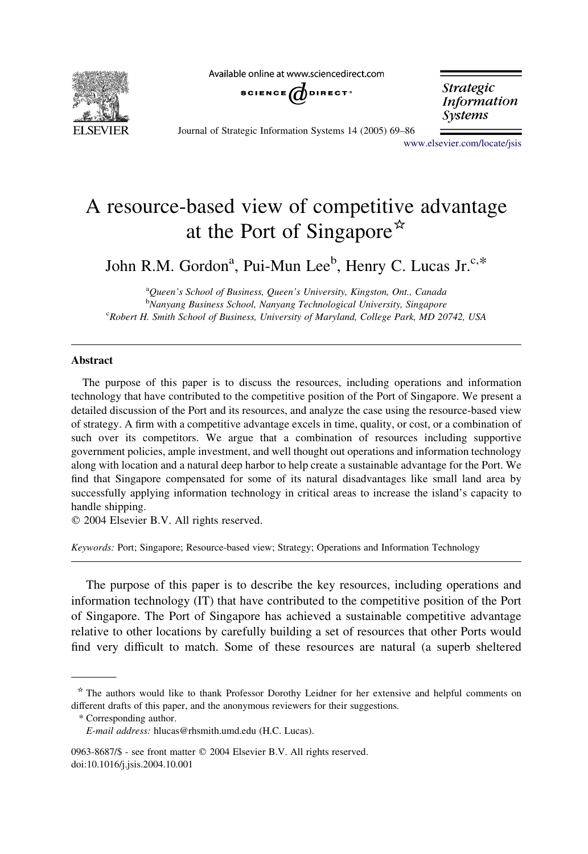

Available online at www.sciencedirect.com



**Strategic Information Systems** 

Journal of Strategic Information Systems 14 (2005) 69–86

[www.elsevier.com/locate/jsis](http://www.elsevier.com/locate/jsis)

## A resource-based view of competitive advantage at the Port of Singapore $\overrightarrow{r}$

John R.M. Gordon<sup>a</sup>, Pui-Mun Lee<sup>b</sup>, Henry C. Lucas Jr.<sup>c,\*</sup>

<sup>a</sup>Queen's School of Business, Queen's University, Kingston, Ont., Canada <sup>b</sup>Nanyang Business School, Nanyang Technological University, Singapore <sup>c</sup>Robert H. Smith School of Business, University of Maryland, College Park, MD 20742, USA

#### Abstract

The purpose of this paper is to discuss the resources, including operations and information technology that have contributed to the competitive position of the Port of Singapore. We present a detailed discussion of the Port and its resources, and analyze the case using the resource-based view of strategy. A firm with a competitive advantage excels in time, quality, or cost, or a combination of such over its competitors. We argue that a combination of resources including supportive government policies, ample investment, and well thought out operations and information technology along with location and a natural deep harbor to help create a sustainable advantage for the Port. We find that Singapore compensated for some of its natural disadvantages like small land area by successfully applying information technology in critical areas to increase the island's capacity to handle shipping.

 $© 2004 Elsevier B.V. All rights reserved.$ 

Keywords: Port; Singapore; Resource-based view; Strategy; Operations and Information Technology

The purpose of this paper is to describe the key resources, including operations and information technology (IT) that have contributed to the competitive position of the Port of Singapore. The Port of Singapore has achieved a sustainable competitive advantage relative to other locations by carefully building a set of resources that other Ports would find very difficult to match. Some of these resources are natural (a superb sheltered

<sup>\*</sup> The authors would like to thank Professor Dorothy Leidner for her extensive and helpful comments on different drafts of this paper, and the anonymous reviewers for their suggestions.

<sup>\*</sup> Corresponding author.

E-mail address: hlucas@rhsmith.umd.edu (H.C. Lucas).

<sup>0963-8687/\$ -</sup> see front matter © 2004 Elsevier B.V. All rights reserved. doi:10.1016/j.jsis.2004.10.001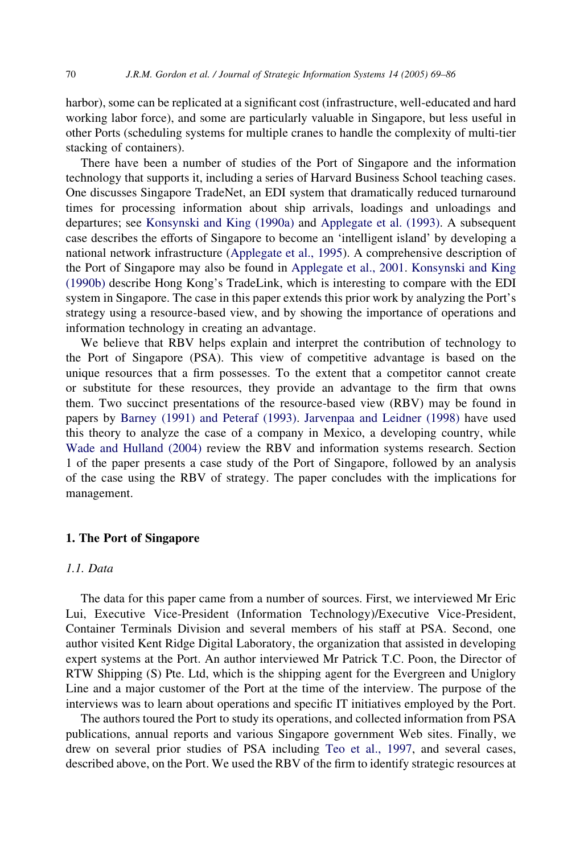harbor), some can be replicated at a significant cost (infrastructure, well-educated and hard working labor force), and some are particularly valuable in Singapore, but less useful in other Ports (scheduling systems for multiple cranes to handle the complexity of multi-tier stacking of containers).

There have been a number of studies of the Port of Singapore and the information technology that supports it, including a series of Harvard Business School teaching cases. One discusses Singapore TradeNet, an EDI system that dramatically reduced turnaround times for processing information about ship arrivals, loadings and unloadings and departures; see [Konsynski and King \(1990a\)](#page--1-0) and [Applegate et al. \(1993\)](#page--1-0). A subsequent case describes the efforts of Singapore to become an 'intelligent island' by developing a national network infrastructure ([Applegate et al., 1995\)](#page--1-0). A comprehensive description of the Port of Singapore may also be found in [Applegate et al., 2001](#page--1-0). [Konsynski and King](#page--1-0) [\(1990b\)](#page--1-0) describe Hong Kong's TradeLink, which is interesting to compare with the EDI system in Singapore. The case in this paper extends this prior work by analyzing the Port's strategy using a resource-based view, and by showing the importance of operations and information technology in creating an advantage.

We believe that RBV helps explain and interpret the contribution of technology to the Port of Singapore (PSA). This view of competitive advantage is based on the unique resources that a firm possesses. To the extent that a competitor cannot create or substitute for these resources, they provide an advantage to the firm that owns them. Two succinct presentations of the resource-based view (RBV) may be found in papers by [Barney \(1991\) and Peteraf \(1993\)](#page--1-0). [Jarvenpaa and Leidner \(1998\)](#page--1-0) have used this theory to analyze the case of a company in Mexico, a developing country, while [Wade and Hulland \(2004\)](#page--1-0) review the RBV and information systems research. Section 1 of the paper presents a case study of the Port of Singapore, followed by an analysis of the case using the RBV of strategy. The paper concludes with the implications for management.

### 1. The Port of Singapore

### 1.1. Data

The data for this paper came from a number of sources. First, we interviewed Mr Eric Lui, Executive Vice-President (Information Technology)/Executive Vice-President, Container Terminals Division and several members of his staff at PSA. Second, one author visited Kent Ridge Digital Laboratory, the organization that assisted in developing expert systems at the Port. An author interviewed Mr Patrick T.C. Poon, the Director of RTW Shipping (S) Pte. Ltd, which is the shipping agent for the Evergreen and Uniglory Line and a major customer of the Port at the time of the interview. The purpose of the interviews was to learn about operations and specific IT initiatives employed by the Port.

The authors toured the Port to study its operations, and collected information from PSA publications, annual reports and various Singapore government Web sites. Finally, we drew on several prior studies of PSA including [Teo et al., 1997](#page--1-0), and several cases, described above, on the Port. We used the RBV of the firm to identify strategic resources at